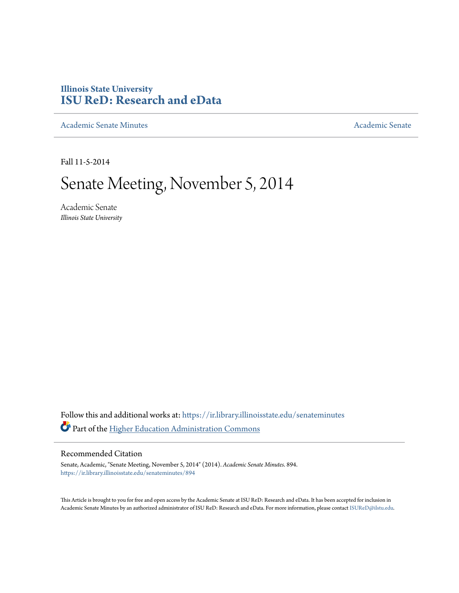## **Illinois State University [ISU ReD: Research and eData](https://ir.library.illinoisstate.edu?utm_source=ir.library.illinoisstate.edu%2Fsenateminutes%2F894&utm_medium=PDF&utm_campaign=PDFCoverPages)**

[Academic Senate Minutes](https://ir.library.illinoisstate.edu/senateminutes?utm_source=ir.library.illinoisstate.edu%2Fsenateminutes%2F894&utm_medium=PDF&utm_campaign=PDFCoverPages) [Academic Senate](https://ir.library.illinoisstate.edu/senate?utm_source=ir.library.illinoisstate.edu%2Fsenateminutes%2F894&utm_medium=PDF&utm_campaign=PDFCoverPages) Academic Senate

Fall 11-5-2014

# Senate Meeting, November 5, 2014

Academic Senate *Illinois State University*

Follow this and additional works at: [https://ir.library.illinoisstate.edu/senateminutes](https://ir.library.illinoisstate.edu/senateminutes?utm_source=ir.library.illinoisstate.edu%2Fsenateminutes%2F894&utm_medium=PDF&utm_campaign=PDFCoverPages) Part of the [Higher Education Administration Commons](http://network.bepress.com/hgg/discipline/791?utm_source=ir.library.illinoisstate.edu%2Fsenateminutes%2F894&utm_medium=PDF&utm_campaign=PDFCoverPages)

#### Recommended Citation

Senate, Academic, "Senate Meeting, November 5, 2014" (2014). *Academic Senate Minutes*. 894. [https://ir.library.illinoisstate.edu/senateminutes/894](https://ir.library.illinoisstate.edu/senateminutes/894?utm_source=ir.library.illinoisstate.edu%2Fsenateminutes%2F894&utm_medium=PDF&utm_campaign=PDFCoverPages)

This Article is brought to you for free and open access by the Academic Senate at ISU ReD: Research and eData. It has been accepted for inclusion in Academic Senate Minutes by an authorized administrator of ISU ReD: Research and eData. For more information, please contact [ISUReD@ilstu.edu.](mailto:ISUReD@ilstu.edu)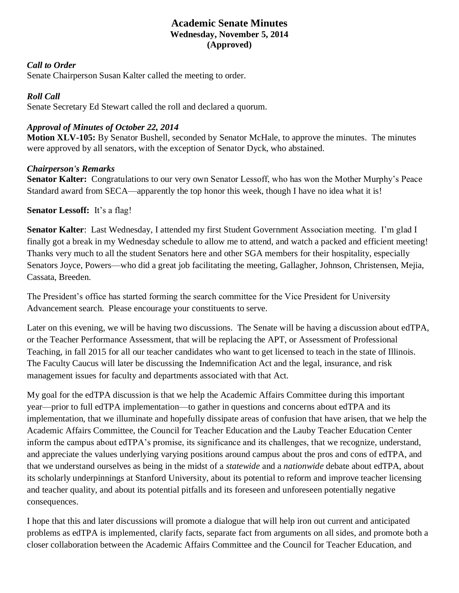## **Academic Senate Minutes Wednesday, November 5, 2014 (Approved)**

#### *Call to Order*

Senate Chairperson Susan Kalter called the meeting to order.

#### *Roll Call*

Senate Secretary Ed Stewart called the roll and declared a quorum.

## *Approval of Minutes of October 22, 2014*

**Motion XLV-105:** By Senator Bushell, seconded by Senator McHale, to approve the minutes. The minutes were approved by all senators, with the exception of Senator Dyck, who abstained.

## *Chairperson's Remarks*

**Senator Kalter:** Congratulations to our very own Senator Lessoff, who has won the Mother Murphy's Peace Standard award from SECA—apparently the top honor this week, though I have no idea what it is!

**Senator Lessoff:** It's a flag!

**Senator Kalter**: Last Wednesday, I attended my first Student Government Association meeting. I'm glad I finally got a break in my Wednesday schedule to allow me to attend, and watch a packed and efficient meeting! Thanks very much to all the student Senators here and other SGA members for their hospitality, especially Senators Joyce, Powers—who did a great job facilitating the meeting, Gallagher, Johnson, Christensen, Mejia, Cassata, Breeden.

The President's office has started forming the search committee for the Vice President for University Advancement search. Please encourage your constituents to serve.

Later on this evening, we will be having two discussions. The Senate will be having a discussion about edTPA, or the Teacher Performance Assessment, that will be replacing the APT, or Assessment of Professional Teaching, in fall 2015 for all our teacher candidates who want to get licensed to teach in the state of Illinois. The Faculty Caucus will later be discussing the Indemnification Act and the legal, insurance, and risk management issues for faculty and departments associated with that Act.

My goal for the edTPA discussion is that we help the Academic Affairs Committee during this important year—prior to full edTPA implementation—to gather in questions and concerns about edTPA and its implementation, that we illuminate and hopefully dissipate areas of confusion that have arisen, that we help the Academic Affairs Committee, the Council for Teacher Education and the Lauby Teacher Education Center inform the campus about edTPA's promise, its significance and its challenges, that we recognize, understand, and appreciate the values underlying varying positions around campus about the pros and cons of edTPA, and that we understand ourselves as being in the midst of a *statewide* and a *nationwide* debate about edTPA, about its scholarly underpinnings at Stanford University, about its potential to reform and improve teacher licensing and teacher quality, and about its potential pitfalls and its foreseen and unforeseen potentially negative consequences.

I hope that this and later discussions will promote a dialogue that will help iron out current and anticipated problems as edTPA is implemented, clarify facts, separate fact from arguments on all sides, and promote both a closer collaboration between the Academic Affairs Committee and the Council for Teacher Education, and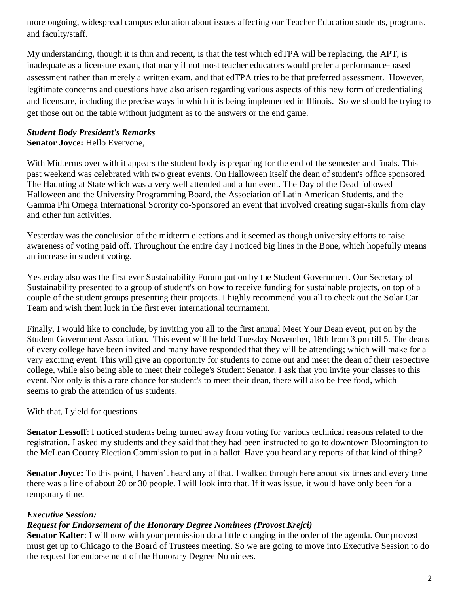more ongoing, widespread campus education about issues affecting our Teacher Education students, programs, and faculty/staff.

My understanding, though it is thin and recent, is that the test which edTPA will be replacing, the APT, is inadequate as a licensure exam, that many if not most teacher educators would prefer a performance-based assessment rather than merely a written exam, and that edTPA tries to be that preferred assessment. However, legitimate concerns and questions have also arisen regarding various aspects of this new form of credentialing and licensure, including the precise ways in which it is being implemented in Illinois. So we should be trying to get those out on the table without judgment as to the answers or the end game.

#### *Student Body President's Remarks* **Senator Joyce:** Hello Everyone,

With Midterms over with it appears the student body is preparing for the end of the semester and finals. This past weekend was celebrated with two great events. On Halloween itself the dean of student's office sponsored The Haunting at State which was a very well attended and a fun event. The Day of the Dead followed Halloween and the University Programming Board, the Association of Latin American Students, and the Gamma Phi Omega International Sorority co-Sponsored an event that involved creating sugar-skulls from clay and other fun activities.

Yesterday was the conclusion of the midterm elections and it seemed as though university efforts to raise awareness of voting paid off. Throughout the entire day I noticed big lines in the Bone, which hopefully means an increase in student voting.

Yesterday also was the first ever Sustainability Forum put on by the Student Government. Our Secretary of Sustainability presented to a group of student's on how to receive funding for sustainable projects, on top of a couple of the student groups presenting their projects. I highly recommend you all to check out the Solar Car Team and wish them luck in the first ever international tournament.

Finally, I would like to conclude, by inviting you all to the first annual Meet Your Dean event, put on by the Student Government Association. This event will be held Tuesday November, 18th from 3 pm till 5. The deans of every college have been invited and many have responded that they will be attending; which will make for a very exciting event. This will give an opportunity for students to come out and meet the dean of their respective college, while also being able to meet their college's Student Senator. I ask that you invite your classes to this event. Not only is this a rare chance for student's to meet their dean, there will also be free food, which seems to grab the attention of us students.

With that, I yield for questions.

**Senator Lessoff**: I noticed students being turned away from voting for various technical reasons related to the registration. I asked my students and they said that they had been instructed to go to downtown Bloomington to the McLean County Election Commission to put in a ballot. Have you heard any reports of that kind of thing?

**Senator Joyce:** To this point, I haven't heard any of that. I walked through here about six times and every time there was a line of about 20 or 30 people. I will look into that. If it was issue, it would have only been for a temporary time.

## *Executive Session:*

## *Request for Endorsement of the Honorary Degree Nominees (Provost Krejci)*

**Senator Kalter**: I will now with your permission do a little changing in the order of the agenda. Our provost must get up to Chicago to the Board of Trustees meeting. So we are going to move into Executive Session to do the request for endorsement of the Honorary Degree Nominees.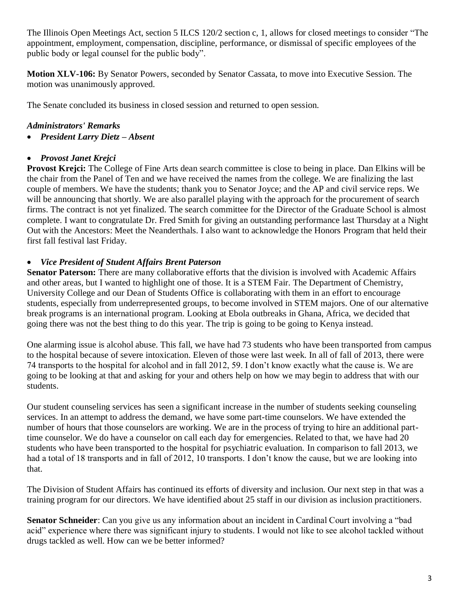The Illinois Open Meetings Act, section 5 ILCS 120/2 section c, 1, allows for closed meetings to consider "The appointment, employment, compensation, discipline, performance, or dismissal of specific employees of the public body or legal counsel for the public body".

**Motion XLV-106:** By Senator Powers, seconded by Senator Cassata, to move into Executive Session. The motion was unanimously approved.

The Senate concluded its business in closed session and returned to open session.

## *Administrators' Remarks*

• *President Larry Dietz – Absent*

## • *Provost Janet Krejci*

**Provost Krejci:** The College of Fine Arts dean search committee is close to being in place. Dan Elkins will be the chair from the Panel of Ten and we have received the names from the college. We are finalizing the last couple of members. We have the students; thank you to Senator Joyce; and the AP and civil service reps. We will be announcing that shortly. We are also parallel playing with the approach for the procurement of search firms. The contract is not yet finalized. The search committee for the Director of the Graduate School is almost complete. I want to congratulate Dr. Fred Smith for giving an outstanding performance last Thursday at a Night Out with the Ancestors: Meet the Neanderthals. I also want to acknowledge the Honors Program that held their first fall festival last Friday.

## • *Vice President of Student Affairs Brent Paterson*

**Senator Paterson:** There are many collaborative efforts that the division is involved with Academic Affairs and other areas, but I wanted to highlight one of those. It is a STEM Fair. The Department of Chemistry, University College and our Dean of Students Office is collaborating with them in an effort to encourage students, especially from underrepresented groups, to become involved in STEM majors. One of our alternative break programs is an international program. Looking at Ebola outbreaks in Ghana, Africa, we decided that going there was not the best thing to do this year. The trip is going to be going to Kenya instead.

One alarming issue is alcohol abuse. This fall, we have had 73 students who have been transported from campus to the hospital because of severe intoxication. Eleven of those were last week. In all of fall of 2013, there were 74 transports to the hospital for alcohol and in fall 2012, 59. I don't know exactly what the cause is. We are going to be looking at that and asking for your and others help on how we may begin to address that with our students.

Our student counseling services has seen a significant increase in the number of students seeking counseling services. In an attempt to address the demand, we have some part-time counselors. We have extended the number of hours that those counselors are working. We are in the process of trying to hire an additional parttime counselor. We do have a counselor on call each day for emergencies. Related to that, we have had 20 students who have been transported to the hospital for psychiatric evaluation. In comparison to fall 2013, we had a total of 18 transports and in fall of 2012, 10 transports. I don't know the cause, but we are looking into that.

The Division of Student Affairs has continued its efforts of diversity and inclusion. Our next step in that was a training program for our directors. We have identified about 25 staff in our division as inclusion practitioners.

**Senator Schneider**: Can you give us any information about an incident in Cardinal Court involving a "bad acid" experience where there was significant injury to students. I would not like to see alcohol tackled without drugs tackled as well. How can we be better informed?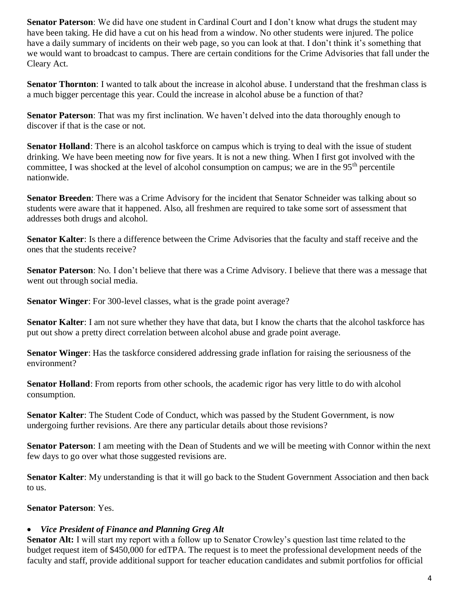**Senator Paterson**: We did have one student in Cardinal Court and I don't know what drugs the student may have been taking. He did have a cut on his head from a window. No other students were injured. The police have a daily summary of incidents on their web page, so you can look at that. I don't think it's something that we would want to broadcast to campus. There are certain conditions for the Crime Advisories that fall under the Cleary Act.

**Senator Thornton**: I wanted to talk about the increase in alcohol abuse. I understand that the freshman class is a much bigger percentage this year. Could the increase in alcohol abuse be a function of that?

**Senator Paterson**: That was my first inclination. We haven't delved into the data thoroughly enough to discover if that is the case or not.

**Senator Holland**: There is an alcohol taskforce on campus which is trying to deal with the issue of student drinking. We have been meeting now for five years. It is not a new thing. When I first got involved with the committee, I was shocked at the level of alcohol consumption on campus; we are in the 95<sup>th</sup> percentile nationwide.

**Senator Breeden**: There was a Crime Advisory for the incident that Senator Schneider was talking about so students were aware that it happened. Also, all freshmen are required to take some sort of assessment that addresses both drugs and alcohol.

**Senator Kalter**: Is there a difference between the Crime Advisories that the faculty and staff receive and the ones that the students receive?

**Senator Paterson**: No. I don't believe that there was a Crime Advisory. I believe that there was a message that went out through social media.

**Senator Winger:** For 300-level classes, what is the grade point average?

**Senator Kalter**: I am not sure whether they have that data, but I know the charts that the alcohol taskforce has put out show a pretty direct correlation between alcohol abuse and grade point average.

**Senator Winger**: Has the taskforce considered addressing grade inflation for raising the seriousness of the environment?

**Senator Holland**: From reports from other schools, the academic rigor has very little to do with alcohol consumption.

**Senator Kalter**: The Student Code of Conduct, which was passed by the Student Government, is now undergoing further revisions. Are there any particular details about those revisions?

**Senator Paterson**: I am meeting with the Dean of Students and we will be meeting with Connor within the next few days to go over what those suggested revisions are.

**Senator Kalter**: My understanding is that it will go back to the Student Government Association and then back to us.

## **Senator Paterson**: Yes.

#### • *Vice President of Finance and Planning Greg Alt*

**Senator Alt:** I will start my report with a follow up to Senator Crowley's question last time related to the budget request item of \$450,000 for edTPA. The request is to meet the professional development needs of the faculty and staff, provide additional support for teacher education candidates and submit portfolios for official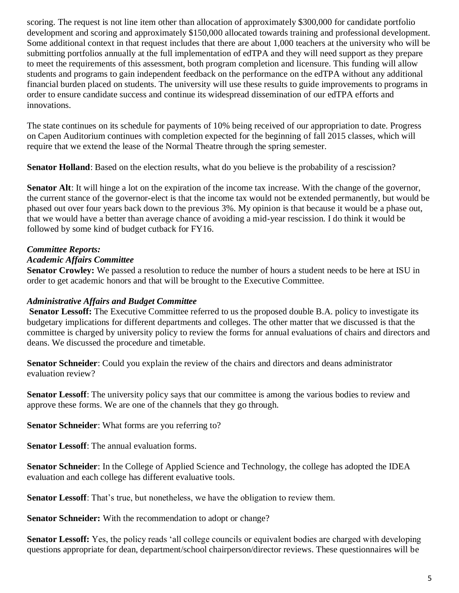scoring. The request is not line item other than allocation of approximately \$300,000 for candidate portfolio development and scoring and approximately \$150,000 allocated towards training and professional development. Some additional context in that request includes that there are about 1,000 teachers at the university who will be submitting portfolios annually at the full implementation of edTPA and they will need support as they prepare to meet the requirements of this assessment, both program completion and licensure. This funding will allow students and programs to gain independent feedback on the performance on the edTPA without any additional financial burden placed on students. The university will use these results to guide improvements to programs in order to ensure candidate success and continue its widespread dissemination of our edTPA efforts and innovations.

The state continues on its schedule for payments of 10% being received of our appropriation to date. Progress on Capen Auditorium continues with completion expected for the beginning of fall 2015 classes, which will require that we extend the lease of the Normal Theatre through the spring semester.

**Senator Holland**: Based on the election results, what do you believe is the probability of a rescission?

**Senator Alt**: It will hinge a lot on the expiration of the income tax increase. With the change of the governor, the current stance of the governor-elect is that the income tax would not be extended permanently, but would be phased out over four years back down to the previous 3%. My opinion is that because it would be a phase out, that we would have a better than average chance of avoiding a mid-year rescission. I do think it would be followed by some kind of budget cutback for FY16.

## *Committee Reports:*

#### *Academic Affairs Committee*

**Senator Crowley:** We passed a resolution to reduce the number of hours a student needs to be here at ISU in order to get academic honors and that will be brought to the Executive Committee.

#### *Administrative Affairs and Budget Committee*

**Senator Lessoff:** The Executive Committee referred to us the proposed double B.A. policy to investigate its budgetary implications for different departments and colleges. The other matter that we discussed is that the committee is charged by university policy to review the forms for annual evaluations of chairs and directors and deans. We discussed the procedure and timetable.

**Senator Schneider**: Could you explain the review of the chairs and directors and deans administrator evaluation review?

**Senator Lessoff**: The university policy says that our committee is among the various bodies to review and approve these forms. We are one of the channels that they go through.

**Senator Schneider**: What forms are you referring to?

**Senator Lessoff:** The annual evaluation forms.

**Senator Schneider**: In the College of Applied Science and Technology, the college has adopted the IDEA evaluation and each college has different evaluative tools.

**Senator Lessoff**: That's true, but nonetheless, we have the obligation to review them.

**Senator Schneider:** With the recommendation to adopt or change?

**Senator Lessoff:** Yes, the policy reads 'all college councils or equivalent bodies are charged with developing questions appropriate for dean, department/school chairperson/director reviews. These questionnaires will be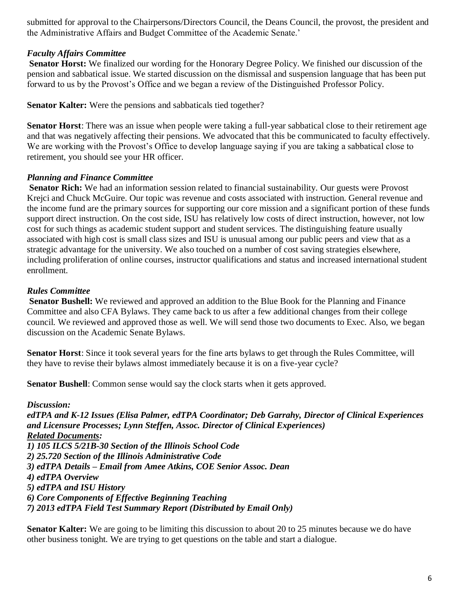submitted for approval to the Chairpersons/Directors Council, the Deans Council, the provost, the president and the Administrative Affairs and Budget Committee of the Academic Senate.'

### *Faculty Affairs Committee*

**Senator Horst:** We finalized our wording for the Honorary Degree Policy. We finished our discussion of the pension and sabbatical issue. We started discussion on the dismissal and suspension language that has been put forward to us by the Provost's Office and we began a review of the Distinguished Professor Policy.

**Senator Kalter:** Were the pensions and sabbaticals tied together?

**Senator Horst**: There was an issue when people were taking a full-year sabbatical close to their retirement age and that was negatively affecting their pensions. We advocated that this be communicated to faculty effectively. We are working with the Provost's Office to develop language saying if you are taking a sabbatical close to retirement, you should see your HR officer.

## *Planning and Finance Committee*

**Senator Rich:** We had an information session related to financial sustainability. Our guests were Provost Krejci and Chuck McGuire. Our topic was revenue and costs associated with instruction. General revenue and the income fund are the primary sources for supporting our core mission and a significant portion of these funds support direct instruction. On the cost side, ISU has relatively low costs of direct instruction, however, not low cost for such things as academic student support and student services. The distinguishing feature usually associated with high cost is small class sizes and ISU is unusual among our public peers and view that as a strategic advantage for the university. We also touched on a number of cost saving strategies elsewhere, including proliferation of online courses, instructor qualifications and status and increased international student enrollment.

## *Rules Committee*

**Senator Bushell:** We reviewed and approved an addition to the Blue Book for the Planning and Finance Committee and also CFA Bylaws. They came back to us after a few additional changes from their college council. We reviewed and approved those as well. We will send those two documents to Exec. Also, we began discussion on the Academic Senate Bylaws.

**Senator Horst**: Since it took several years for the fine arts bylaws to get through the Rules Committee, will they have to revise their bylaws almost immediately because it is on a five-year cycle?

**Senator Bushell:** Common sense would say the clock starts when it gets approved.

*Discussion: edTPA and K-12 Issues (Elisa Palmer, edTPA Coordinator; Deb Garrahy, Director of Clinical Experiences and Licensure Processes; Lynn Steffen, Assoc. Director of Clinical Experiences) Related Documents: 1) 105 ILCS 5/21B-30 Section of the Illinois School Code 2) 25.720 Section of the Illinois Administrative Code 3) edTPA Details – Email from Amee Atkins, COE Senior Assoc. Dean 4) edTPA Overview 5) edTPA and ISU History 6) Core Components of Effective Beginning Teaching 7) 2013 edTPA Field Test Summary Report (Distributed by Email Only)*

**Senator Kalter:** We are going to be limiting this discussion to about 20 to 25 minutes because we do have other business tonight. We are trying to get questions on the table and start a dialogue.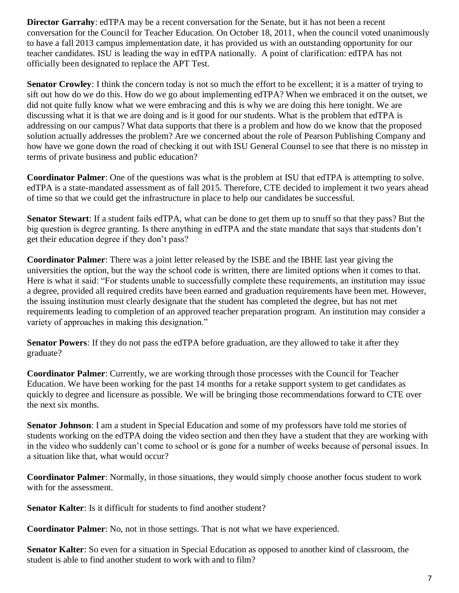**Director Garrahy:** edTPA may be a recent conversation for the Senate, but it has not been a recent conversation for the Council for Teacher Education. On October 18, 2011, when the council voted unanimously to have a fall 2013 campus implementation date, it has provided us with an outstanding opportunity for our teacher candidates. ISU is leading the way in edTPA nationally. A point of clarification: edTPA has not officially been designated to replace the APT Test.

**Senator Crowley**: I think the concern today is not so much the effort to be excellent; it is a matter of trying to sift out how do we do this. How do we go about implementing edTPA? When we embraced it on the outset, we did not quite fully know what we were embracing and this is why we are doing this here tonight. We are discussing what it is that we are doing and is it good for our students. What is the problem that edTPA is addressing on our campus? What data supports that there is a problem and how do we know that the proposed solution actually addresses the problem? Are we concerned about the role of Pearson Publishing Company and how have we gone down the road of checking it out with ISU General Counsel to see that there is no misstep in terms of private business and public education?

**Coordinator Palmer**: One of the questions was what is the problem at ISU that edTPA is attempting to solve. edTPA is a state-mandated assessment as of fall 2015. Therefore, CTE decided to implement it two years ahead of time so that we could get the infrastructure in place to help our candidates be successful.

**Senator Stewart**: If a student fails edTPA, what can be done to get them up to snuff so that they pass? But the big question is degree granting. Is there anything in edTPA and the state mandate that says that students don't get their education degree if they don't pass?

**Coordinator Palmer**: There was a joint letter released by the ISBE and the IBHE last year giving the universities the option, but the way the school code is written, there are limited options when it comes to that. Here is what it said: "For students unable to successfully complete these requirements, an institution may issue a degree, provided all required credits have been earned and graduation requirements have been met. However, the issuing institution must clearly designate that the student has completed the degree, but has not met requirements leading to completion of an approved teacher preparation program. An institution may consider a variety of approaches in making this designation."

**Senator Powers**: If they do not pass the edTPA before graduation, are they allowed to take it after they graduate?

**Coordinator Palmer**: Currently, we are working through those processes with the Council for Teacher Education. We have been working for the past 14 months for a retake support system to get candidates as quickly to degree and licensure as possible. We will be bringing those recommendations forward to CTE over the next six months.

**Senator Johnson**: I am a student in Special Education and some of my professors have told me stories of students working on the edTPA doing the video section and then they have a student that they are working with in the video who suddenly can't come to school or is gone for a number of weeks because of personal issues. In a situation like that, what would occur?

**Coordinator Palmer**: Normally, in those situations, they would simply choose another focus student to work with for the assessment.

**Senator Kalter**: Is it difficult for students to find another student?

**Coordinator Palmer**: No, not in those settings. That is not what we have experienced.

**Senator Kalter**: So even for a situation in Special Education as opposed to another kind of classroom, the student is able to find another student to work with and to film?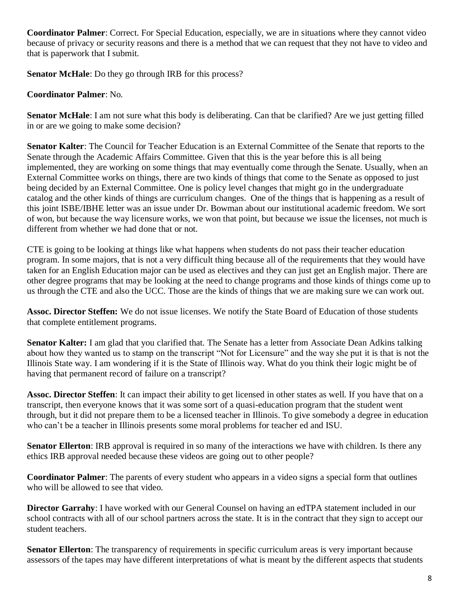**Coordinator Palmer**: Correct. For Special Education, especially, we are in situations where they cannot video because of privacy or security reasons and there is a method that we can request that they not have to video and that is paperwork that I submit.

**Senator McHale**: Do they go through IRB for this process?

**Coordinator Palmer**: No.

**Senator McHale**: I am not sure what this body is deliberating. Can that be clarified? Are we just getting filled in or are we going to make some decision?

**Senator Kalter**: The Council for Teacher Education is an External Committee of the Senate that reports to the Senate through the Academic Affairs Committee. Given that this is the year before this is all being implemented, they are working on some things that may eventually come through the Senate. Usually, when an External Committee works on things, there are two kinds of things that come to the Senate as opposed to just being decided by an External Committee. One is policy level changes that might go in the undergraduate catalog and the other kinds of things are curriculum changes. One of the things that is happening as a result of this joint ISBE/IBHE letter was an issue under Dr. Bowman about our institutional academic freedom. We sort of won, but because the way licensure works, we won that point, but because we issue the licenses, not much is different from whether we had done that or not.

CTE is going to be looking at things like what happens when students do not pass their teacher education program. In some majors, that is not a very difficult thing because all of the requirements that they would have taken for an English Education major can be used as electives and they can just get an English major. There are other degree programs that may be looking at the need to change programs and those kinds of things come up to us through the CTE and also the UCC. Those are the kinds of things that we are making sure we can work out.

**Assoc. Director Steffen:** We do not issue licenses. We notify the State Board of Education of those students that complete entitlement programs.

**Senator Kalter:** I am glad that you clarified that. The Senate has a letter from Associate Dean Adkins talking about how they wanted us to stamp on the transcript "Not for Licensure" and the way she put it is that is not the Illinois State way. I am wondering if it is the State of Illinois way. What do you think their logic might be of having that permanent record of failure on a transcript?

**Assoc. Director Steffen**: It can impact their ability to get licensed in other states as well. If you have that on a transcript, then everyone knows that it was some sort of a quasi-education program that the student went through, but it did not prepare them to be a licensed teacher in Illinois. To give somebody a degree in education who can't be a teacher in Illinois presents some moral problems for teacher ed and ISU.

**Senator Ellerton**: IRB approval is required in so many of the interactions we have with children. Is there any ethics IRB approval needed because these videos are going out to other people?

**Coordinator Palmer**: The parents of every student who appears in a video signs a special form that outlines who will be allowed to see that video.

**Director Garrahy**: I have worked with our General Counsel on having an edTPA statement included in our school contracts with all of our school partners across the state. It is in the contract that they sign to accept our student teachers.

**Senator Ellerton**: The transparency of requirements in specific curriculum areas is very important because assessors of the tapes may have different interpretations of what is meant by the different aspects that students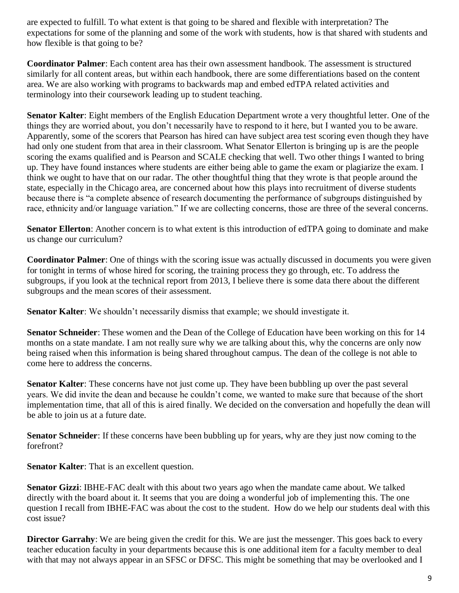are expected to fulfill. To what extent is that going to be shared and flexible with interpretation? The expectations for some of the planning and some of the work with students, how is that shared with students and how flexible is that going to be?

**Coordinator Palmer**: Each content area has their own assessment handbook. The assessment is structured similarly for all content areas, but within each handbook, there are some differentiations based on the content area. We are also working with programs to backwards map and embed edTPA related activities and terminology into their coursework leading up to student teaching.

**Senator Kalter**: Eight members of the English Education Department wrote a very thoughtful letter. One of the things they are worried about, you don't necessarily have to respond to it here, but I wanted you to be aware. Apparently, some of the scorers that Pearson has hired can have subject area test scoring even though they have had only one student from that area in their classroom. What Senator Ellerton is bringing up is are the people scoring the exams qualified and is Pearson and SCALE checking that well. Two other things I wanted to bring up. They have found instances where students are either being able to game the exam or plagiarize the exam. I think we ought to have that on our radar. The other thoughtful thing that they wrote is that people around the state, especially in the Chicago area, are concerned about how this plays into recruitment of diverse students because there is "a complete absence of research documenting the performance of subgroups distinguished by race, ethnicity and/or language variation." If we are collecting concerns, those are three of the several concerns.

**Senator Ellerton**: Another concern is to what extent is this introduction of edTPA going to dominate and make us change our curriculum?

**Coordinator Palmer**: One of things with the scoring issue was actually discussed in documents you were given for tonight in terms of whose hired for scoring, the training process they go through, etc. To address the subgroups, if you look at the technical report from 2013, I believe there is some data there about the different subgroups and the mean scores of their assessment.

**Senator Kalter**: We shouldn't necessarily dismiss that example; we should investigate it.

**Senator Schneider**: These women and the Dean of the College of Education have been working on this for 14 months on a state mandate. I am not really sure why we are talking about this, why the concerns are only now being raised when this information is being shared throughout campus. The dean of the college is not able to come here to address the concerns.

**Senator Kalter**: These concerns have not just come up. They have been bubbling up over the past several years. We did invite the dean and because he couldn't come, we wanted to make sure that because of the short implementation time, that all of this is aired finally. We decided on the conversation and hopefully the dean will be able to join us at a future date.

**Senator Schneider**: If these concerns have been bubbling up for years, why are they just now coming to the forefront?

**Senator Kalter:** That is an excellent question.

**Senator Gizzi**: IBHE-FAC dealt with this about two years ago when the mandate came about. We talked directly with the board about it. It seems that you are doing a wonderful job of implementing this. The one question I recall from IBHE-FAC was about the cost to the student. How do we help our students deal with this cost issue?

**Director Garrahy**: We are being given the credit for this. We are just the messenger. This goes back to every teacher education faculty in your departments because this is one additional item for a faculty member to deal with that may not always appear in an SFSC or DFSC. This might be something that may be overlooked and I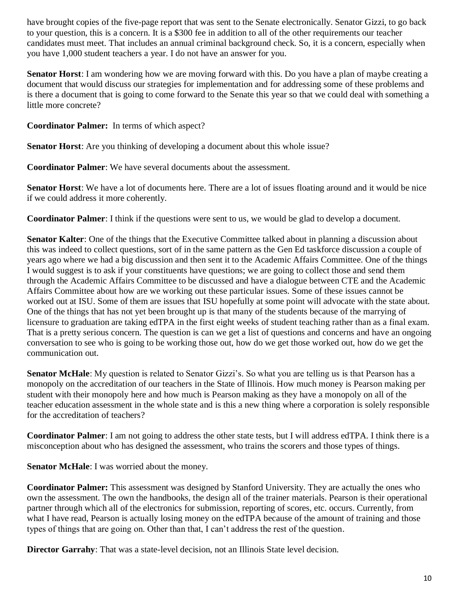have brought copies of the five-page report that was sent to the Senate electronically. Senator Gizzi, to go back to your question, this is a concern. It is a \$300 fee in addition to all of the other requirements our teacher candidates must meet. That includes an annual criminal background check. So, it is a concern, especially when you have 1,000 student teachers a year. I do not have an answer for you.

**Senator Horst**: I am wondering how we are moving forward with this. Do you have a plan of maybe creating a document that would discuss our strategies for implementation and for addressing some of these problems and is there a document that is going to come forward to the Senate this year so that we could deal with something a little more concrete?

**Coordinator Palmer:** In terms of which aspect?

**Senator Horst**: Are you thinking of developing a document about this whole issue?

**Coordinator Palmer**: We have several documents about the assessment.

**Senator Horst**: We have a lot of documents here. There are a lot of issues floating around and it would be nice if we could address it more coherently.

**Coordinator Palmer**: I think if the questions were sent to us, we would be glad to develop a document.

**Senator Kalter**: One of the things that the Executive Committee talked about in planning a discussion about this was indeed to collect questions, sort of in the same pattern as the Gen Ed taskforce discussion a couple of years ago where we had a big discussion and then sent it to the Academic Affairs Committee. One of the things I would suggest is to ask if your constituents have questions; we are going to collect those and send them through the Academic Affairs Committee to be discussed and have a dialogue between CTE and the Academic Affairs Committee about how are we working out these particular issues. Some of these issues cannot be worked out at ISU. Some of them are issues that ISU hopefully at some point will advocate with the state about. One of the things that has not yet been brought up is that many of the students because of the marrying of licensure to graduation are taking edTPA in the first eight weeks of student teaching rather than as a final exam. That is a pretty serious concern. The question is can we get a list of questions and concerns and have an ongoing conversation to see who is going to be working those out, how do we get those worked out, how do we get the communication out.

**Senator McHale**: My question is related to Senator Gizzi's. So what you are telling us is that Pearson has a monopoly on the accreditation of our teachers in the State of Illinois. How much money is Pearson making per student with their monopoly here and how much is Pearson making as they have a monopoly on all of the teacher education assessment in the whole state and is this a new thing where a corporation is solely responsible for the accreditation of teachers?

**Coordinator Palmer**: I am not going to address the other state tests, but I will address edTPA. I think there is a misconception about who has designed the assessment, who trains the scorers and those types of things.

**Senator McHale**: I was worried about the money.

**Coordinator Palmer:** This assessment was designed by Stanford University. They are actually the ones who own the assessment. The own the handbooks, the design all of the trainer materials. Pearson is their operational partner through which all of the electronics for submission, reporting of scores, etc. occurs. Currently, from what I have read, Pearson is actually losing money on the edTPA because of the amount of training and those types of things that are going on. Other than that, I can't address the rest of the question.

**Director Garrahy**: That was a state-level decision, not an Illinois State level decision.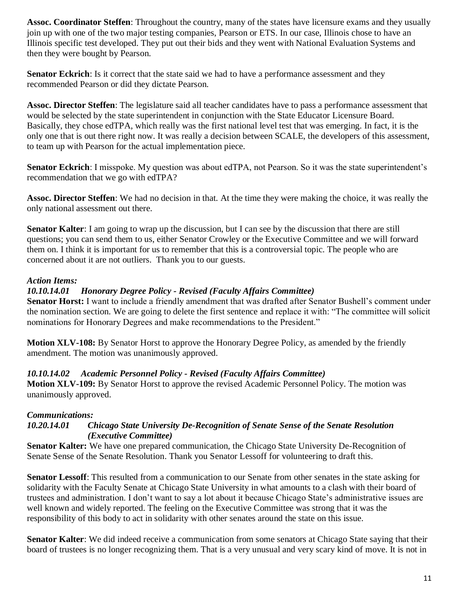**Assoc. Coordinator Steffen**: Throughout the country, many of the states have licensure exams and they usually join up with one of the two major testing companies, Pearson or ETS. In our case, Illinois chose to have an Illinois specific test developed. They put out their bids and they went with National Evaluation Systems and then they were bought by Pearson.

**Senator Eckrich**: Is it correct that the state said we had to have a performance assessment and they recommended Pearson or did they dictate Pearson.

**Assoc. Director Steffen**: The legislature said all teacher candidates have to pass a performance assessment that would be selected by the state superintendent in conjunction with the State Educator Licensure Board. Basically, they chose edTPA, which really was the first national level test that was emerging. In fact, it is the only one that is out there right now. It was really a decision between SCALE, the developers of this assessment, to team up with Pearson for the actual implementation piece.

**Senator Eckrich**: I misspoke. My question was about edTPA, not Pearson. So it was the state superintendent's recommendation that we go with edTPA?

**Assoc. Director Steffen**: We had no decision in that. At the time they were making the choice, it was really the only national assessment out there.

**Senator Kalter**: I am going to wrap up the discussion, but I can see by the discussion that there are still questions; you can send them to us, either Senator Crowley or the Executive Committee and we will forward them on. I think it is important for us to remember that this is a controversial topic. The people who are concerned about it are not outliers. Thank you to our guests.

#### *Action Items:*

#### *10.10.14.01 Honorary Degree Policy - Revised (Faculty Affairs Committee)*

**Senator Horst:** I want to include a friendly amendment that was drafted after Senator Bushell's comment under the nomination section. We are going to delete the first sentence and replace it with: "The committee will solicit nominations for Honorary Degrees and make recommendations to the President."

**Motion XLV-108:** By Senator Horst to approve the Honorary Degree Policy, as amended by the friendly amendment. The motion was unanimously approved.

#### *10.10.14.02 Academic Personnel Policy - Revised (Faculty Affairs Committee)*

**Motion XLV-109:** By Senator Horst to approve the revised Academic Personnel Policy. The motion was unanimously approved.

#### *Communications:*

#### *10.20.14.01 Chicago State University De-Recognition of Senate Sense of the Senate Resolution (Executive Committee)*

**Senator Kalter:** We have one prepared communication, the Chicago State University De-Recognition of Senate Sense of the Senate Resolution. Thank you Senator Lessoff for volunteering to draft this.

**Senator Lessoff**: This resulted from a communication to our Senate from other senates in the state asking for solidarity with the Faculty Senate at Chicago State University in what amounts to a clash with their board of trustees and administration. I don't want to say a lot about it because Chicago State's administrative issues are well known and widely reported. The feeling on the Executive Committee was strong that it was the responsibility of this body to act in solidarity with other senates around the state on this issue.

**Senator Kalter**: We did indeed receive a communication from some senators at Chicago State saying that their board of trustees is no longer recognizing them. That is a very unusual and very scary kind of move. It is not in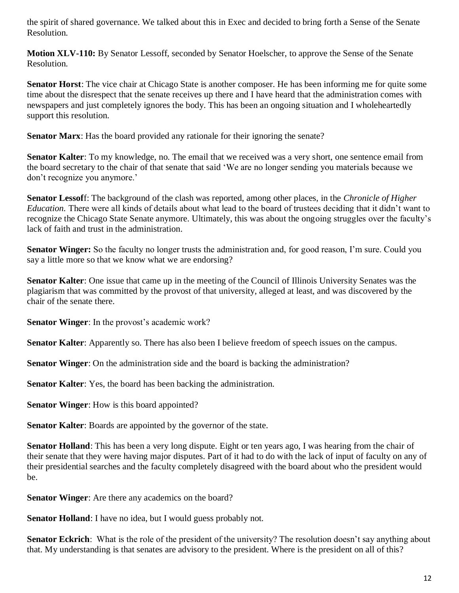the spirit of shared governance. We talked about this in Exec and decided to bring forth a Sense of the Senate Resolution.

**Motion XLV-110:** By Senator Lessoff, seconded by Senator Hoelscher, to approve the Sense of the Senate Resolution.

**Senator Horst**: The vice chair at Chicago State is another composer. He has been informing me for quite some time about the disrespect that the senate receives up there and I have heard that the administration comes with newspapers and just completely ignores the body. This has been an ongoing situation and I wholeheartedly support this resolution.

**Senator Marx**: Has the board provided any rationale for their ignoring the senate?

**Senator Kalter**: To my knowledge, no. The email that we received was a very short, one sentence email from the board secretary to the chair of that senate that said 'We are no longer sending you materials because we don't recognize you anymore.'

**Senator Lessof**f: The background of the clash was reported, among other places, in the *Chronicle of Higher Education.* There were all kinds of details about what lead to the board of trustees deciding that it didn't want to recognize the Chicago State Senate anymore. Ultimately, this was about the ongoing struggles over the faculty's lack of faith and trust in the administration.

**Senator Winger:** So the faculty no longer trusts the administration and, for good reason, I'm sure. Could you say a little more so that we know what we are endorsing?

**Senator Kalter**: One issue that came up in the meeting of the Council of Illinois University Senates was the plagiarism that was committed by the provost of that university, alleged at least, and was discovered by the chair of the senate there.

**Senator Winger**: In the provost's academic work?

**Senator Kalter**: Apparently so. There has also been I believe freedom of speech issues on the campus.

**Senator Winger**: On the administration side and the board is backing the administration?

**Senator Kalter**: Yes, the board has been backing the administration.

**Senator Winger**: How is this board appointed?

**Senator Kalter**: Boards are appointed by the governor of the state.

**Senator Holland**: This has been a very long dispute. Eight or ten years ago, I was hearing from the chair of their senate that they were having major disputes. Part of it had to do with the lack of input of faculty on any of their presidential searches and the faculty completely disagreed with the board about who the president would be.

**Senator Winger**: Are there any academics on the board?

**Senator Holland**: I have no idea, but I would guess probably not.

**Senator Eckrich**: What is the role of the president of the university? The resolution doesn't say anything about that. My understanding is that senates are advisory to the president. Where is the president on all of this?